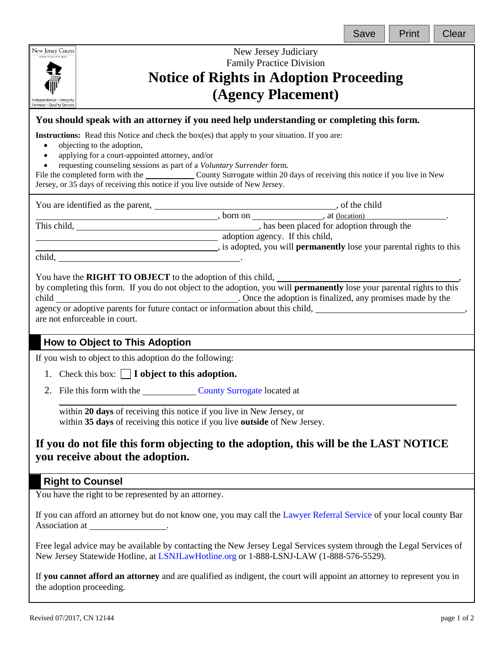| New Jersey Courts<br>New Jersey Judiciary<br>www.njcourts.gov<br><b>Family Practice Division</b><br><b>Notice of Rights in Adoption Proceeding</b><br>(Agency Placement)<br>Independence · Integrity<br>Fairness · Quality Service<br>You should speak with an attorney if you need help understanding or completing this form.<br><b>Instructions:</b> Read this Notice and check the box(es) that apply to your situation. If you are:<br>objecting to the adoption,<br>$\bullet$<br>applying for a court-appointed attorney, and/or<br>$\bullet$<br>requesting counseling sessions as part of a Voluntary Surrender form.<br>$\bullet$<br>File the completed form with the County Surrogate within 20 days of receiving this notice if you live in New<br>Jersey, or 35 days of receiving this notice if you live outside of New Jersey.<br>You are identified as the parent, ________________, born on __________, at (location)<br>This child, _______________________, has been placed for adoption through the |
|-----------------------------------------------------------------------------------------------------------------------------------------------------------------------------------------------------------------------------------------------------------------------------------------------------------------------------------------------------------------------------------------------------------------------------------------------------------------------------------------------------------------------------------------------------------------------------------------------------------------------------------------------------------------------------------------------------------------------------------------------------------------------------------------------------------------------------------------------------------------------------------------------------------------------------------------------------------------------------------------------------------------------|
|                                                                                                                                                                                                                                                                                                                                                                                                                                                                                                                                                                                                                                                                                                                                                                                                                                                                                                                                                                                                                       |
|                                                                                                                                                                                                                                                                                                                                                                                                                                                                                                                                                                                                                                                                                                                                                                                                                                                                                                                                                                                                                       |
|                                                                                                                                                                                                                                                                                                                                                                                                                                                                                                                                                                                                                                                                                                                                                                                                                                                                                                                                                                                                                       |
|                                                                                                                                                                                                                                                                                                                                                                                                                                                                                                                                                                                                                                                                                                                                                                                                                                                                                                                                                                                                                       |
|                                                                                                                                                                                                                                                                                                                                                                                                                                                                                                                                                                                                                                                                                                                                                                                                                                                                                                                                                                                                                       |
|                                                                                                                                                                                                                                                                                                                                                                                                                                                                                                                                                                                                                                                                                                                                                                                                                                                                                                                                                                                                                       |
|                                                                                                                                                                                                                                                                                                                                                                                                                                                                                                                                                                                                                                                                                                                                                                                                                                                                                                                                                                                                                       |
|                                                                                                                                                                                                                                                                                                                                                                                                                                                                                                                                                                                                                                                                                                                                                                                                                                                                                                                                                                                                                       |
| adoption agency. If this child,                                                                                                                                                                                                                                                                                                                                                                                                                                                                                                                                                                                                                                                                                                                                                                                                                                                                                                                                                                                       |
| is adopted, you will <b>permanently</b> lose your parental rights to this                                                                                                                                                                                                                                                                                                                                                                                                                                                                                                                                                                                                                                                                                                                                                                                                                                                                                                                                             |
|                                                                                                                                                                                                                                                                                                                                                                                                                                                                                                                                                                                                                                                                                                                                                                                                                                                                                                                                                                                                                       |
| You have the RIGHT TO OBJECT to the adoption of this child,<br>by completing this form. If you do not object to the adoption, you will permanently lose your parental rights to this<br>agency or adoptive parents for future contact or information about this child, _______________________________,<br>are not enforceable in court.                                                                                                                                                                                                                                                                                                                                                                                                                                                                                                                                                                                                                                                                              |
| How to Object to This Adoption                                                                                                                                                                                                                                                                                                                                                                                                                                                                                                                                                                                                                                                                                                                                                                                                                                                                                                                                                                                        |
| If you wish to object to this adoption do the following:                                                                                                                                                                                                                                                                                                                                                                                                                                                                                                                                                                                                                                                                                                                                                                                                                                                                                                                                                              |
| 1. Check this box: $\Box$ <b>I</b> object to this adoption.                                                                                                                                                                                                                                                                                                                                                                                                                                                                                                                                                                                                                                                                                                                                                                                                                                                                                                                                                           |
| 2. File this form with the County Surrogate located at                                                                                                                                                                                                                                                                                                                                                                                                                                                                                                                                                                                                                                                                                                                                                                                                                                                                                                                                                                |
| within 20 days of receiving this notice if you live in New Jersey, or<br>within 35 days of receiving this notice if you live outside of New Jersey.                                                                                                                                                                                                                                                                                                                                                                                                                                                                                                                                                                                                                                                                                                                                                                                                                                                                   |
| If you do not file this form objecting to the adoption, this will be the LAST NOTICE<br>you receive about the adoption.                                                                                                                                                                                                                                                                                                                                                                                                                                                                                                                                                                                                                                                                                                                                                                                                                                                                                               |
| <b>Right to Counsel</b>                                                                                                                                                                                                                                                                                                                                                                                                                                                                                                                                                                                                                                                                                                                                                                                                                                                                                                                                                                                               |
| You have the right to be represented by an attorney.                                                                                                                                                                                                                                                                                                                                                                                                                                                                                                                                                                                                                                                                                                                                                                                                                                                                                                                                                                  |
| If you can afford an attorney but do not know one, you may call the Lawyer Referral Service of your local county Bar<br>Association at _____________________.                                                                                                                                                                                                                                                                                                                                                                                                                                                                                                                                                                                                                                                                                                                                                                                                                                                         |
| Free legal advice may be available by contacting the New Jersey Legal Services system through the Legal Services of<br>New Jersey Statewide Hotline, at LSNJLawHotline.org or 1-888-LSNJ-LAW (1-888-576-5529).                                                                                                                                                                                                                                                                                                                                                                                                                                                                                                                                                                                                                                                                                                                                                                                                        |
| If you cannot afford an attorney and are qualified as indigent, the court will appoint an attorney to represent you in<br>the adoption proceeding.                                                                                                                                                                                                                                                                                                                                                                                                                                                                                                                                                                                                                                                                                                                                                                                                                                                                    |

and the contract of the contract of the contract of the contract of the contract of the contract of the contract of